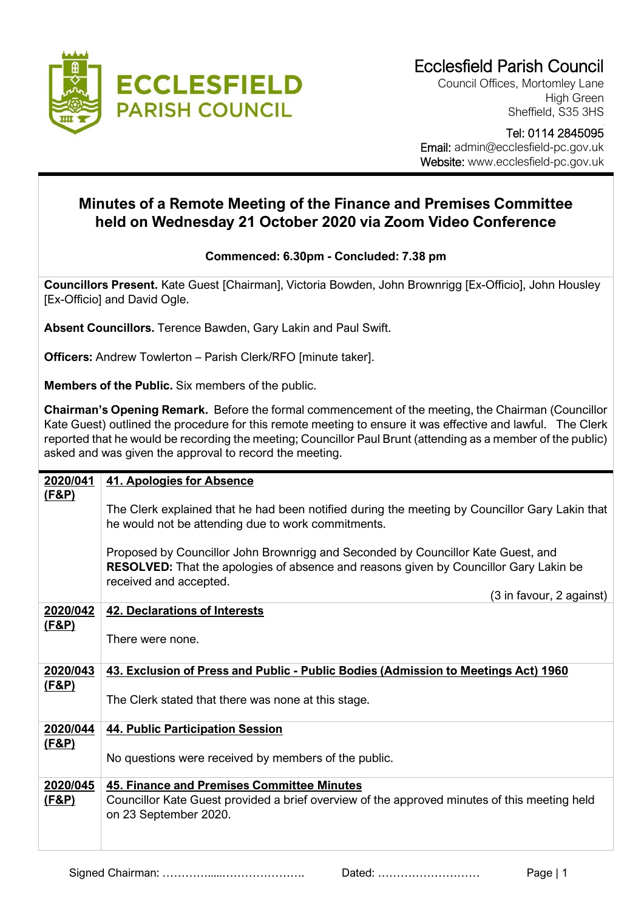

Council Offices, Mortomley Lane High Green Sheffield, S35 3HS

 Tel: 0114 2845095 Email: admin@ecclesfield-pc.gov.uk Website: www.ecclesfield-pc.gov.uk

## **Minutes of a Remote Meeting of the Finance and Premises Committee held on Wednesday 21 October 2020 via Zoom Video Conference**

## **Commenced: 6.30pm - Concluded: 7.38 pm**

**Councillors Present.** Kate Guest [Chairman], Victoria Bowden, John Brownrigg [Ex-Officio], John Housley [Ex-Officio] and David Ogle.

**Absent Councillors.** Terence Bawden, Gary Lakin and Paul Swift.

**Officers:** Andrew Towlerton – Parish Clerk/RFO [minute taker].

**Members of the Public.** Six members of the public.

**Chairman's Opening Remark.** Before the formal commencement of the meeting, the Chairman (Councillor Kate Guest) outlined the procedure for this remote meeting to ensure it was effective and lawful. The Clerk reported that he would be recording the meeting; Councillor Paul Brunt (attending as a member of the public) asked and was given the approval to record the meeting.

| 2020/041                     | 41. Apologies for Absence                                                                                                                                                                           |
|------------------------------|-----------------------------------------------------------------------------------------------------------------------------------------------------------------------------------------------------|
| <u>(F&amp;P)</u>             | The Clerk explained that he had been notified during the meeting by Councillor Gary Lakin that<br>he would not be attending due to work commitments.                                                |
|                              | Proposed by Councillor John Brownrigg and Seconded by Councillor Kate Guest, and<br>RESOLVED: That the apologies of absence and reasons given by Councillor Gary Lakin be<br>received and accepted. |
|                              | (3 in favour, 2 against)                                                                                                                                                                            |
| 2020/042<br><u>(F&amp;P)</u> | <b>42. Declarations of Interests</b>                                                                                                                                                                |
|                              | There were none.                                                                                                                                                                                    |
| 2020/043                     | 43. Exclusion of Press and Public - Public Bodies (Admission to Meetings Act) 1960                                                                                                                  |
| <u>(F&amp;P)</u>             | The Clerk stated that there was none at this stage.                                                                                                                                                 |
| 2020/044                     | <b>44. Public Participation Session</b>                                                                                                                                                             |
| <u>(F&amp;P)</u>             |                                                                                                                                                                                                     |
|                              | No questions were received by members of the public.                                                                                                                                                |
| 2020/045                     | 45. Finance and Premises Committee Minutes                                                                                                                                                          |
| (F&P)                        | Councillor Kate Guest provided a brief overview of the approved minutes of this meeting held<br>on 23 September 2020.                                                                               |
|                              |                                                                                                                                                                                                     |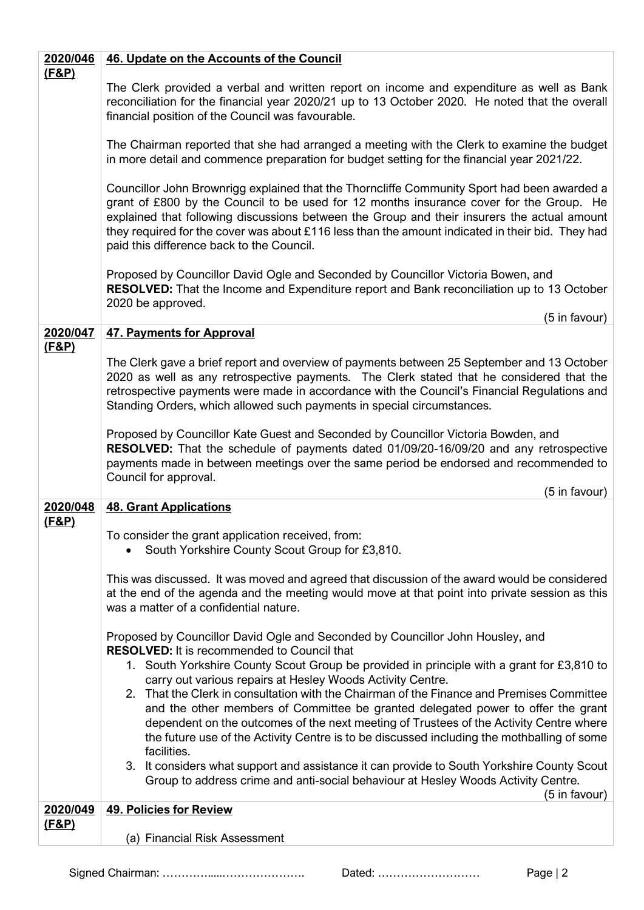| 2020/046         | 46. Update on the Accounts of the Council                                                                                                                                                                                                                                                                                                                                                                                              |
|------------------|----------------------------------------------------------------------------------------------------------------------------------------------------------------------------------------------------------------------------------------------------------------------------------------------------------------------------------------------------------------------------------------------------------------------------------------|
| <u>(F&amp;P)</u> | The Clerk provided a verbal and written report on income and expenditure as well as Bank<br>reconciliation for the financial year 2020/21 up to 13 October 2020. He noted that the overall<br>financial position of the Council was favourable.                                                                                                                                                                                        |
|                  | The Chairman reported that she had arranged a meeting with the Clerk to examine the budget<br>in more detail and commence preparation for budget setting for the financial year 2021/22.                                                                                                                                                                                                                                               |
|                  | Councillor John Brownrigg explained that the Thorncliffe Community Sport had been awarded a<br>grant of £800 by the Council to be used for 12 months insurance cover for the Group. He<br>explained that following discussions between the Group and their insurers the actual amount<br>they required for the cover was about £116 less than the amount indicated in their bid. They had<br>paid this difference back to the Council. |
|                  | Proposed by Councillor David Ogle and Seconded by Councillor Victoria Bowen, and<br>RESOLVED: That the Income and Expenditure report and Bank reconciliation up to 13 October<br>2020 be approved.                                                                                                                                                                                                                                     |
| 2020/047         | (5 in favour)<br><b>47. Payments for Approval</b>                                                                                                                                                                                                                                                                                                                                                                                      |
| (F&P)            |                                                                                                                                                                                                                                                                                                                                                                                                                                        |
|                  | The Clerk gave a brief report and overview of payments between 25 September and 13 October<br>2020 as well as any retrospective payments. The Clerk stated that he considered that the<br>retrospective payments were made in accordance with the Council's Financial Regulations and<br>Standing Orders, which allowed such payments in special circumstances.                                                                        |
|                  | Proposed by Councillor Kate Guest and Seconded by Councillor Victoria Bowden, and<br>RESOLVED: That the schedule of payments dated 01/09/20-16/09/20 and any retrospective<br>payments made in between meetings over the same period be endorsed and recommended to<br>Council for approval.<br>(5 in favour)                                                                                                                          |
| 2020/048         | <b>48. Grant Applications</b>                                                                                                                                                                                                                                                                                                                                                                                                          |
| <u>(F&amp;P)</u> | To consider the grant application received, from:<br>• South Yorkshire County Scout Group for £3,810.                                                                                                                                                                                                                                                                                                                                  |
|                  | This was discussed. It was moved and agreed that discussion of the award would be considered<br>at the end of the agenda and the meeting would move at that point into private session as this<br>was a matter of a confidential nature.                                                                                                                                                                                               |
|                  | Proposed by Councillor David Ogle and Seconded by Councillor John Housley, and                                                                                                                                                                                                                                                                                                                                                         |
|                  | <b>RESOLVED:</b> It is recommended to Council that<br>1. South Yorkshire County Scout Group be provided in principle with a grant for £3,810 to                                                                                                                                                                                                                                                                                        |
|                  | carry out various repairs at Hesley Woods Activity Centre.                                                                                                                                                                                                                                                                                                                                                                             |
|                  | 2. That the Clerk in consultation with the Chairman of the Finance and Premises Committee<br>and the other members of Committee be granted delegated power to offer the grant<br>dependent on the outcomes of the next meeting of Trustees of the Activity Centre where<br>the future use of the Activity Centre is to be discussed including the mothballing of some<br>facilities.                                                   |
|                  | 3. It considers what support and assistance it can provide to South Yorkshire County Scout<br>Group to address crime and anti-social behaviour at Hesley Woods Activity Centre.<br>(5 in favour)                                                                                                                                                                                                                                       |
| 2020/049         | <b>49. Policies for Review</b>                                                                                                                                                                                                                                                                                                                                                                                                         |
| <u>(F&amp;P)</u> | (a) Financial Risk Assessment                                                                                                                                                                                                                                                                                                                                                                                                          |

Signed Chairman: ………….....…………………. Dated: ……………………… Page | 2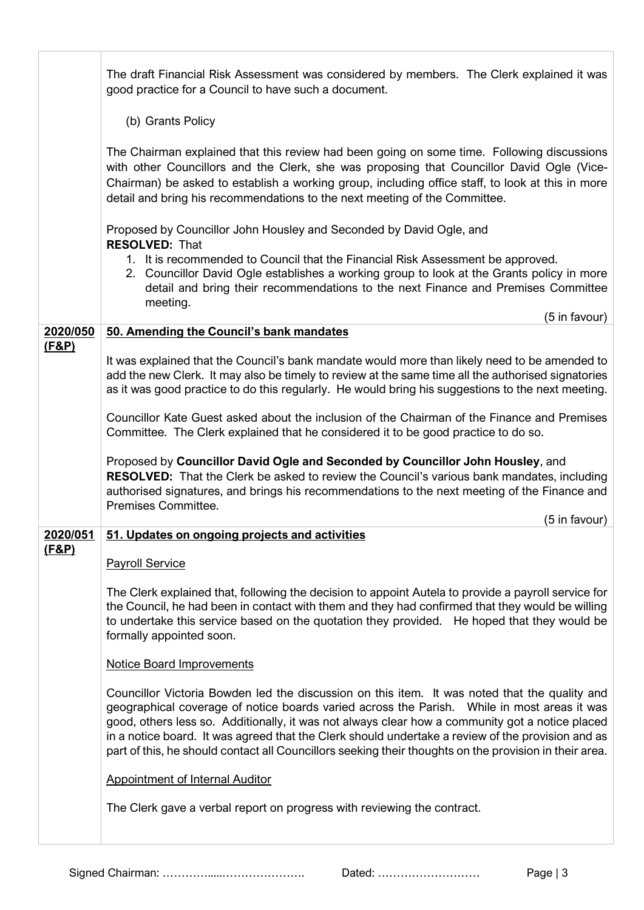|                              | The draft Financial Risk Assessment was considered by members. The Clerk explained it was<br>good practice for a Council to have such a document.                                                                                                                                                                                                                                                                                                                                                               |
|------------------------------|-----------------------------------------------------------------------------------------------------------------------------------------------------------------------------------------------------------------------------------------------------------------------------------------------------------------------------------------------------------------------------------------------------------------------------------------------------------------------------------------------------------------|
|                              | (b) Grants Policy                                                                                                                                                                                                                                                                                                                                                                                                                                                                                               |
|                              | The Chairman explained that this review had been going on some time. Following discussions<br>with other Councillors and the Clerk, she was proposing that Councillor David Ogle (Vice-<br>Chairman) be asked to establish a working group, including office staff, to look at this in more<br>detail and bring his recommendations to the next meeting of the Committee.                                                                                                                                       |
|                              | Proposed by Councillor John Housley and Seconded by David Ogle, and<br><b>RESOLVED: That</b>                                                                                                                                                                                                                                                                                                                                                                                                                    |
|                              | 1. It is recommended to Council that the Financial Risk Assessment be approved.<br>2. Councillor David Ogle establishes a working group to look at the Grants policy in more<br>detail and bring their recommendations to the next Finance and Premises Committee<br>meeting.                                                                                                                                                                                                                                   |
|                              | (5 in favour)                                                                                                                                                                                                                                                                                                                                                                                                                                                                                                   |
| 2020/050<br><u>(F&amp;P)</u> | 50. Amending the Council's bank mandates                                                                                                                                                                                                                                                                                                                                                                                                                                                                        |
|                              | It was explained that the Council's bank mandate would more than likely need to be amended to<br>add the new Clerk. It may also be timely to review at the same time all the authorised signatories<br>as it was good practice to do this regularly. He would bring his suggestions to the next meeting.                                                                                                                                                                                                        |
|                              | Councillor Kate Guest asked about the inclusion of the Chairman of the Finance and Premises<br>Committee. The Clerk explained that he considered it to be good practice to do so.                                                                                                                                                                                                                                                                                                                               |
|                              | Proposed by Councillor David Ogle and Seconded by Councillor John Housley, and<br><b>RESOLVED:</b> That the Clerk be asked to review the Council's various bank mandates, including<br>authorised signatures, and brings his recommendations to the next meeting of the Finance and<br>Premises Committee.<br>(5 in favour)                                                                                                                                                                                     |
| 2020/051                     | 51. Updates on ongoing projects and activities                                                                                                                                                                                                                                                                                                                                                                                                                                                                  |
| (F&P)                        | <b>Payroll Service</b>                                                                                                                                                                                                                                                                                                                                                                                                                                                                                          |
|                              | The Clerk explained that, following the decision to appoint Autela to provide a payroll service for<br>the Council, he had been in contact with them and they had confirmed that they would be willing<br>to undertake this service based on the quotation they provided. He hoped that they would be<br>formally appointed soon.                                                                                                                                                                               |
|                              | <b>Notice Board Improvements</b>                                                                                                                                                                                                                                                                                                                                                                                                                                                                                |
|                              | Councillor Victoria Bowden led the discussion on this item. It was noted that the quality and<br>geographical coverage of notice boards varied across the Parish.  While in most areas it was<br>good, others less so. Additionally, it was not always clear how a community got a notice placed<br>in a notice board. It was agreed that the Clerk should undertake a review of the provision and as<br>part of this, he should contact all Councillors seeking their thoughts on the provision in their area. |
|                              | <b>Appointment of Internal Auditor</b>                                                                                                                                                                                                                                                                                                                                                                                                                                                                          |
|                              | The Clerk gave a verbal report on progress with reviewing the contract.                                                                                                                                                                                                                                                                                                                                                                                                                                         |

Signed Chairman: ………….....…………………. Dated: ……………………… Page | 3